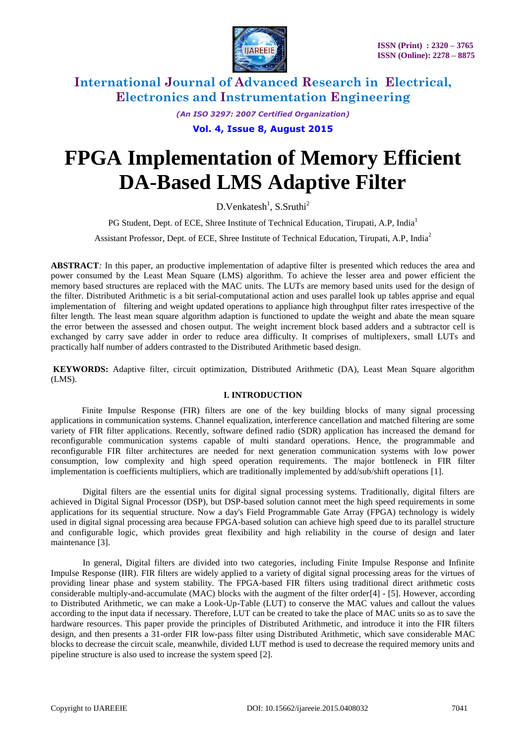

*(An ISO 3297: 2007 Certified Organization)*

**Vol. 4, Issue 8, August 2015**

# **FPGA Implementation of Memory Efficient DA-Based LMS Adaptive Filter**

 $D.Venkatesh<sup>1</sup>, S.Sruthi<sup>2</sup>$ 

PG Student, Dept. of ECE, Shree Institute of Technical Education, Tirupati, A.P, India<sup>1</sup>

Assistant Professor, Dept. of ECE, Shree Institute of Technical Education, Tirupati, A.P, India<sup>2</sup>

**ABSTRACT***:* In this paper, an productive implementation of adaptive filter is presented which reduces the area and power consumed by the Least Mean Square (LMS) algorithm. To achieve the lesser area and power efficient the memory based structures are replaced with the MAC units. The LUTs are memory based units used for the design of the filter. Distributed Arithmetic is a bit serial-computational action and uses parallel look up tables apprise and equal implementation of filtering and weight updated operations to appliance high throughput filter rates irrespective of the filter length. The least mean square algorithm adaption is functioned to update the weight and abate the mean square the error between the assessed and chosen output. The weight increment block based adders and a subtractor cell is exchanged by carry save adder in order to reduce area difficulty. It comprises of multiplexers, small LUTs and practically half number of adders contrasted to the Distributed Arithmetic based design.

**KEYWORDS:** Adaptive filter, circuit optimization, Distributed Arithmetic (DA), Least Mean Square algorithm (LMS).

### **I. INTRODUCTION**

 Finite Impulse Response (FIR) filters are one of the key building blocks of many signal processing applications in communication systems. Channel equalization, interference cancellation and matched filtering are some variety of FIR filter applications. Recently, software defined radio (SDR) application has increased the demand for reconfigurable communication systems capable of multi standard operations. Hence, the programmable and reconfigurable FIR filter architectures are needed for next generation communication systems with low power consumption, low complexity and high speed operation requirements. The major bottleneck in FIR filter implementation is coefficients multipliers, which are traditionally implemented by add/sub/shift operations [1].

Digital filters are the essential units for digital signal processing systems. Traditionally, digital filters are achieved in Digital Signal Processor (DSP), but DSP-based solution cannot meet the high speed requirements in some applications for its sequential structure. Now a day's Field Programmable Gate Array (FPGA) technology is widely used in digital signal processing area because FPGA-based solution can achieve high speed due to its parallel structure and configurable logic, which provides great flexibility and high reliability in the course of design and later maintenance [3].

In general, Digital filters are divided into two categories, including Finite Impulse Response and Infinite Impulse Response (IIR). FIR filters are widely applied to a variety of digital signal processing areas for the virtues of providing linear phase and system stability. The FPGA-based FIR filters using traditional direct arithmetic costs considerable multiply-and-accumulate (MAC) blocks with the augment of the filter order[4] - [5]. However, according to Distributed Arithmetic, we can make a Look-Up-Table (LUT) to conserve the MAC values and callout the values according to the input data if necessary. Therefore, LUT can be created to take the place of MAC units so as to save the hardware resources. This paper provide the principles of Distributed Arithmetic, and introduce it into the FIR filters design, and then presents a 31-order FIR low-pass filter using Distributed Arithmetic, which save considerable MAC blocks to decrease the circuit scale, meanwhile, divided LUT method is used to decrease the required memory units and pipeline structure is also used to increase the system speed [2].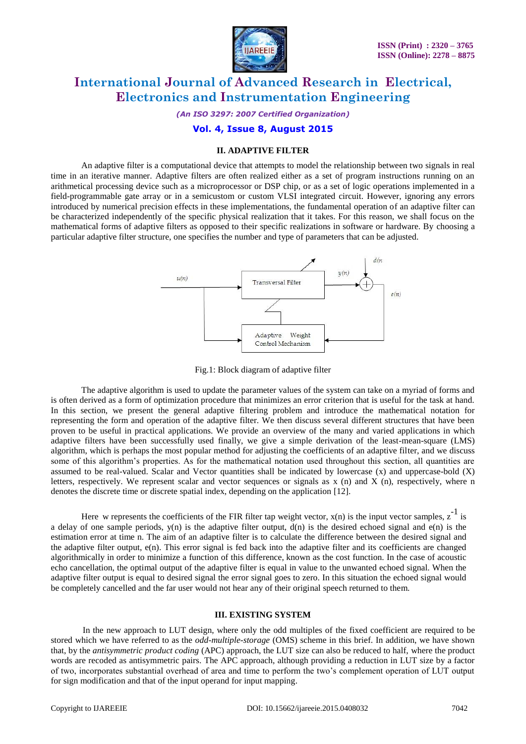

*(An ISO 3297: 2007 Certified Organization)*

### **Vol. 4, Issue 8, August 2015**

#### **II. ADAPTIVE FILTER**

An adaptive filter is a computational device that attempts to model the relationship between two signals in real time in an iterative manner. Adaptive filters are often realized either as a set of program instructions running on an arithmetical processing device such as a microprocessor or DSP chip, or as a set of logic operations implemented in a field-programmable gate array or in a semicustom or custom VLSI integrated circuit. However, ignoring any errors introduced by numerical precision effects in these implementations, the fundamental operation of an adaptive filter can be characterized independently of the specific physical realization that it takes. For this reason, we shall focus on the mathematical forms of adaptive filters as opposed to their specific realizations in software or hardware. By choosing a particular adaptive filter structure, one specifies the number and type of parameters that can be adjusted.



Fig.1: Block diagram of adaptive filter

The adaptive algorithm is used to update the parameter values of the system can take on a myriad of forms and is often derived as a form of optimization procedure that minimizes an error criterion that is useful for the task at hand. In this section, we present the general adaptive filtering problem and introduce the mathematical notation for representing the form and operation of the adaptive filter. We then discuss several different structures that have been proven to be useful in practical applications. We provide an overview of the many and varied applications in which adaptive filters have been successfully used finally, we give a simple derivation of the least-mean-square (LMS) algorithm, which is perhaps the most popular method for adjusting the coefficients of an adaptive filter, and we discuss some of this algorithm"s properties. As for the mathematical notation used throughout this section, all quantities are assumed to be real-valued. Scalar and Vector quantities shall be indicated by lowercase  $(x)$  and uppercase-bold  $(X)$ letters, respectively. We represent scalar and vector sequences or signals as  $x(n)$  and  $X(n)$ , respectively, where n denotes the discrete time or discrete spatial index, depending on the application [12].

Here w represents the coefficients of the FIR filter tap weight vector,  $x(n)$  is the input vector samples,  $z^{-1}$  is a delay of one sample periods,  $y(n)$  is the adaptive filter output,  $d(n)$  is the desired echoed signal and  $e(n)$  is the estimation error at time n. The aim of an adaptive filter is to calculate the difference between the desired signal and the adaptive filter output, e(n). This error signal is fed back into the adaptive filter and its coefficients are changed algorithmically in order to minimize a function of this difference, known as the cost function. In the case of acoustic echo cancellation, the optimal output of the adaptive filter is equal in value to the unwanted echoed signal. When the adaptive filter output is equal to desired signal the error signal goes to zero. In this situation the echoed signal would be completely cancelled and the far user would not hear any of their original speech returned to them.

#### **III. EXISTING SYSTEM**

In the new approach to LUT design, where only the odd multiples of the fixed coefficient are required to be stored which we have referred to as the *odd-multiple-storage* (OMS) scheme in this brief. In addition, we have shown that, by the *antisymmetric product coding* (APC) approach, the LUT size can also be reduced to half, where the product words are recoded as antisymmetric pairs. The APC approach, although providing a reduction in LUT size by a factor of two, incorporates substantial overhead of area and time to perform the two"s complement operation of LUT output for sign modification and that of the input operand for input mapping.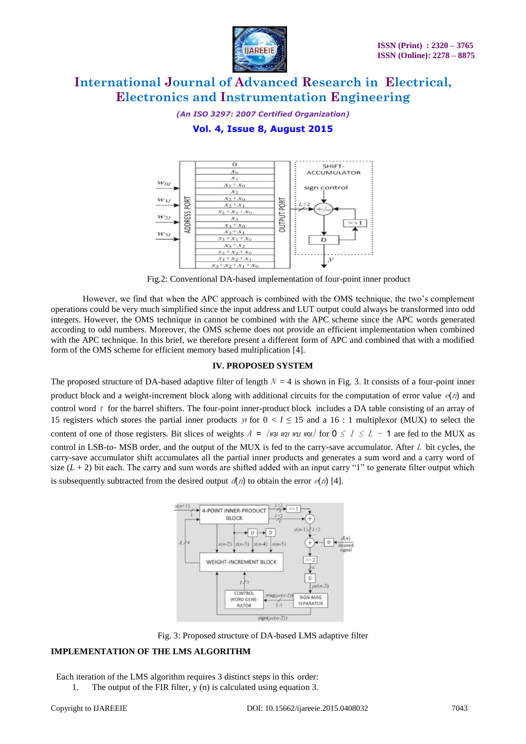

*(An ISO 3297: 2007 Certified Organization)*

### **Vol. 4, Issue 8, August 2015**



Fig.2: Conventional DA-based implementation of four-point inner product

However, we find that when the APC approach is combined with the OMS technique, the two"s complement operations could be very much simplified since the input address and LUT output could always be transformed into odd integers. However, the OMS technique in cannot be combined with the APC scheme since the APC words generated according to odd numbers. Moreover, the OMS scheme does not provide an efficient implementation when combined with the APC technique. In this brief, we therefore present a different form of APC and combined that with a modified form of the OMS scheme for efficient memory based multiplication [4].

#### **IV. PROPOSED SYSTEM**

The proposed structure of DA-based adaptive filter of length  $N = 4$  is shown in Fig. 3. It consists of a four-point inner product block and a weight-increment block along with additional circuits for the computation of error value  $e(n)$  and control word  $t$  for the barrel shifters. The four-point inner-product block includes a DA table consisting of an array of 15 registers which stores the partial inner products y for  $0 < l \le 15$  and a 16 : 1 multiplexor (MUX) to select the content of one of those registers. Bit slices of weights  $A = \{w_3 | w_2 | w_1 w_0\}$  for  $0 \leq 1 \leq L-1$  are fed to the MUX as control in LSB-to- MSB order, and the output of the MUX is fed to the carry-save accumulator. After  $L$  bit cycles, the carry-save accumulator shift accumulates all the partial inner products and generates a sum word and a carry word of size  $(L + 2)$  bit each. The carry and sum words are shifted added with an input carry "1" to generate filter output which is subsequently subtracted from the desired output  $d(n)$  to obtain the error  $e(n)$  [4].



Fig. 3: Proposed structure of DA-based LMS adaptive filter

#### **IMPLEMENTATION OF THE LMS ALGORITHM**

Each iteration of the LMS algorithm requires 3 distinct steps in this order:

1. The output of the FIR filter, y (n) is calculated using equation 3.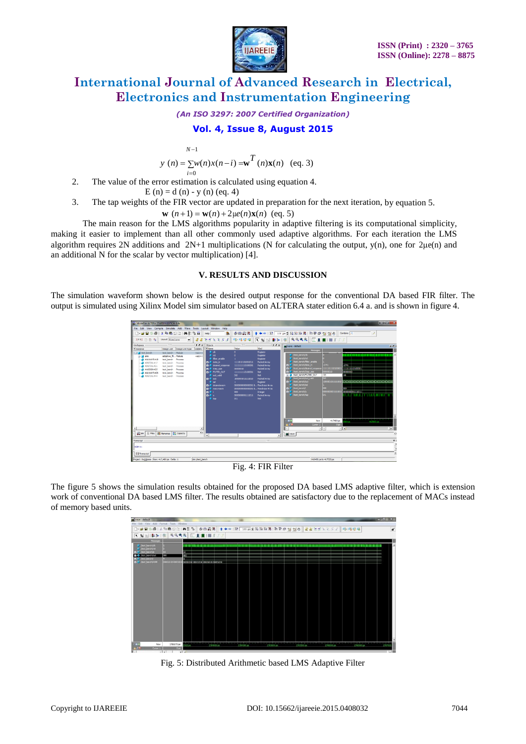

*(An ISO 3297: 2007 Certified Organization)*

### **Vol. 4, Issue 8, August 2015**

$$
y(n) = \sum_{i=0}^{N-1} w(n)x(n-i) = \mathbf{w}^{T}(n)\mathbf{x}(n) \text{ (eq. 3)}
$$

2. The value of the error estimation is calculated using equation 4.  $E(n) = d(n) - y(n)$  (eq. 4)

3. The tap weights of the FIR vector are updated in preparation for the next iteration, by equation 5.

$$
w(n+1) = w(n) + 2\mu e(n)x(n)
$$
 (eq. 5)

The main reason for the LMS algorithms popularity in adaptive filtering is its computational simplicity, making it easier to implement than all other commonly used adaptive algorithms. For each iteration the LMS algorithm requires 2N additions and  $2N+1$  multiplications (N for calculating the output, y(n), one for  $2\mu\epsilon(n)$  and an additional N for the scalar by vector multiplication) [4].

#### **V. RESULTS AND DISCUSSION**

The simulation waveform shown below is the desired output response for the conventional DA based FIR filter. The output is simulated using Xilinx Model sim simulator based on ALTERA stater edition 6.4 a. and is shown in figure 4.



Fig. 4: FIR Filter

The figure 5 shows the simulation results obtained for the proposed DA based LMS adaptive filter, which is extension work of conventional DA based LMS filter. The results obtained are satisfactory due to the replacement of MACs instead of memory based units.



Fig. 5: Distributed Arithmetic based LMS Adaptive Filter